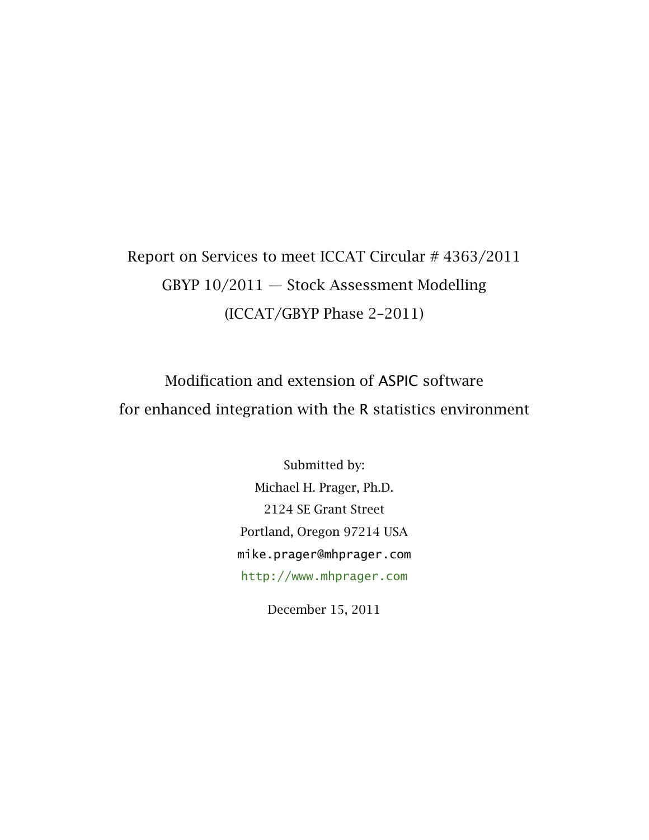# Report on Services to meet ICCAT Circular # 4363/2011 GBYP 10/2011 — Stock Assessment Modelling (ICCAT/GBYP Phase 2–2011)

Modification and extension of ASPIC software for enhanced integration with the R statistics environment

> Submitted by: Michael H. Prager, Ph.D. 2124 SE Grant Street Portland, Oregon 97214 USA mike.prager@mhprager.com <http://www.mhprager.com>

> > December 15, 2011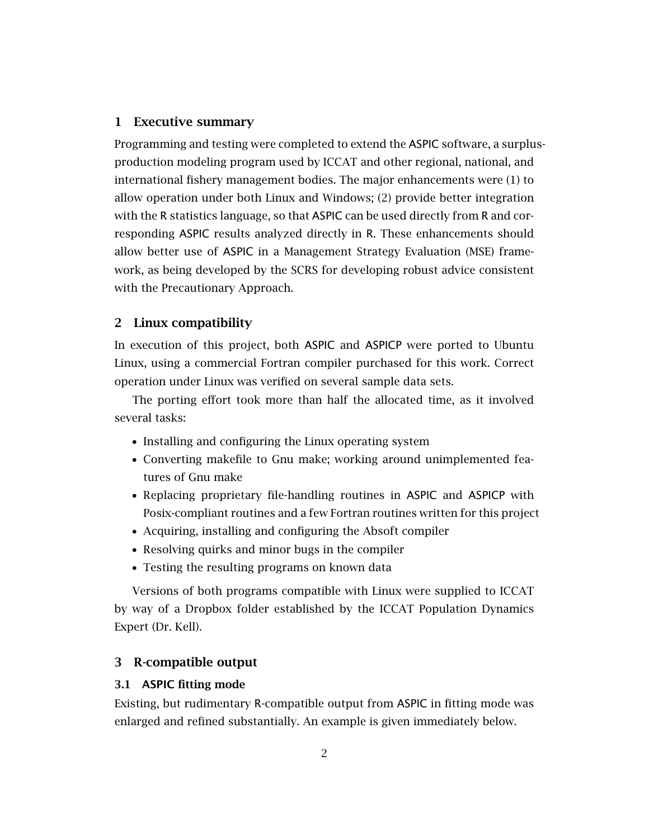# 1 Executive summary

Programming and testing were completed to extend the ASPIC software, a surplusproduction modeling program used by ICCAT and other regional, national, and international fishery management bodies. The major enhancements were (1) to allow operation under both Linux and Windows; (2) provide better integration with the R statistics language, so that ASPIC can be used directly from R and corresponding ASPIC results analyzed directly in R. These enhancements should allow better use of ASPIC in a Management Strategy Evaluation (MSE) framework, as being developed by the SCRS for developing robust advice consistent with the Precautionary Approach.

# 2 Linux compatibility

In execution of this project, both ASPIC and ASPICP were ported to Ubuntu Linux, using a commercial Fortran compiler purchased for this work. Correct operation under Linux was verified on several sample data sets.

The porting effort took more than half the allocated time, as it involved several tasks:

- Installing and configuring the Linux operating system
- Converting makefile to Gnu make; working around unimplemented features of Gnu make
- Replacing proprietary file-handling routines in ASPIC and ASPICP with Posix-compliant routines and a few Fortran routines written for this project
- Acquiring, installing and configuring the Absoft compiler
- Resolving quirks and minor bugs in the compiler
- Testing the resulting programs on known data

Versions of both programs compatible with Linux were supplied to ICCAT by way of a Dropbox folder established by the ICCAT Population Dynamics Expert (Dr. Kell).

# 3 R-compatible output

# 3.1 ASPIC fitting mode

Existing, but rudimentary R-compatible output from ASPIC in fitting mode was enlarged and refined substantially. An example is given immediately below.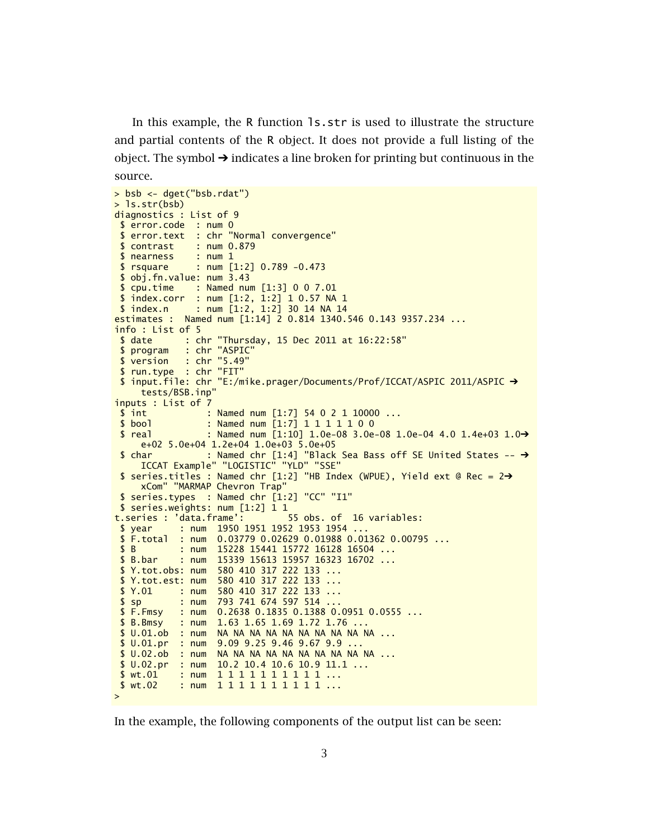In this example, the R function ls.str is used to illustrate the structure and partial contents of the R object. It does not provide a full listing of the object. The symbol  $\rightarrow$  indicates a line broken for printing but continuous in the source.

```
> bsb <- dget("bsb.rdat")
> ls.str(bsb)
diagnostics : List of 9
$ error.code : num 0
 $ error.text : chr "Normal convergence"
 $ contrast : num 0.879
$ nearness : num 1
$ rsquare : num [1:2] 0.789 -0.473
 $ obj.fn.value: num 3.43
 $ cpu.time : Named num [1:3] 0 0 7.01
$ index.corr : num [1:2, 1:2] 1 0.57 NA 1
$ index.n : num [1:2, 1:2] 30 14 NA 14
estimates : Named num [1:14] 2 0.814 1340.546 0.143 9357.234 ...
info : List of 5
 $ date : chr "Thursday, 15 Dec 2011 at 16:22:58"
$ program : chr "ASPIC"
 $ version : chr "5.49"
 $ run.type : chr "FIT"
 $ input.file: chr "E:/mike.prager/Documents/Prof/ICCAT/ASPIC 2011/ASPIC ➔
    tests/BSB.inp"
inputs : List of 7
 $ int : Named num [1:7] 54 0 2 1 10000 ...
 $ bool : Named num [1:7] 1 1 1 1 1 0 0
$ real : Named num [1:10] 1.0e-08 3.0e-08 1.0e-04 4.0 1.4e+03 1.0➔
    e+02 5.0e+04 1.2e+04 1.0e+03 5.0e+05
 $ char : Named chr [1:4] "Black Sea Bass off SE United States \rightarrowICCAT Example" "LOGISTIC" "YLD" "SSE"
 $ series.titles : Named chr [1:2] "HB Index (WPUE), Yield ext @ Rec = 2\rightarrowxCom" "MARMAP Chevron Trap"
 $ series.types : Named chr [1:2] "CC" "I1"
$ series.weights: num [1:2] 1 1
t.series : 'data.frame':
 $ year : num 1950 1951 1952 1953 1954 ...
 $ F.total : num 0.03779 0.02629 0.01988 0.01362 0.00795 ...
$ B : num 15228 15441 15772 16128 16504 ...
 $ B.bar : num 15339 15613 15957 16323 16702 ...
 $ Y.tot.obs: num 580 410 317 222 133 ...
 $ Y.tot.est: num 580 410 317 222 133 ...
 $ Y.01 : num 580 410 317 222 133 ...
 $ sp : num 793 741 674 597 514 ...
 $ F.Fmsy : num 0.2638 0.1835 0.1388 0.0951 0.0555 ...
 $ B.Bmsy : num 1.63 1.65 1.69 1.72 1.76 ...
 $ U.01.ob : num NA NA NA NA NA NA NA NA NA NA ...
 $ U.01.pr : num 9.09 9.25 9.46 9.67 9.9 ...
$ U.02.ob : num NA NA NA NA NA NA NA NA NA NA ...
$ U.02.pr : num 10.2 10.4 10.6 10.9 11.1 ...
$ wt.01 : num    1 1 1 1 1 1 1 1 1 1 ...
$ wt.02 : num 1 1 1 1 1 1 1 1 1 1 ...
>
```
In the example, the following components of the output list can be seen: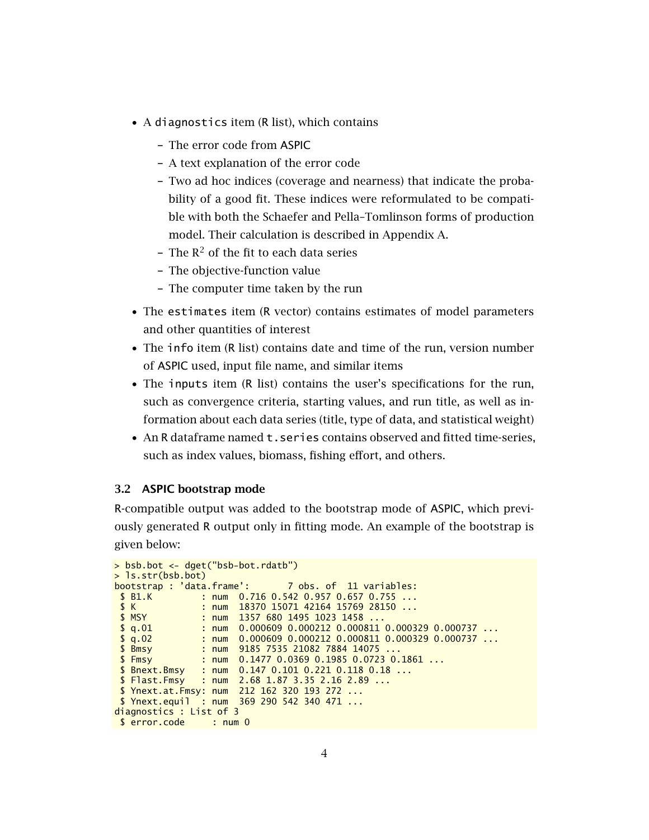- A diagnostics item (R list), which contains
	- The error code from ASPIC
	- A text explanation of the error code
	- Two ad hoc indices (coverage and nearness) that indicate the probability of a good fit. These indices were reformulated to be compatible with both the Schaefer and Pella–Tomlinson forms of production model. Their calculation is described in Appendix A.
	- The  $R^2$  of the fit to each data series
	- The objective-function value
	- The computer time taken by the run
- The estimates item (R vector) contains estimates of model parameters and other quantities of interest
- The info item (R list) contains date and time of the run, version number of ASPIC used, input file name, and similar items
- The inputs item (R list) contains the user's specifications for the run, such as convergence criteria, starting values, and run title, as well as information about each data series (title, type of data, and statistical weight)
- An R dataframe named t.series contains observed and fitted time-series, such as index values, biomass, fishing effort, and others.

# 3.2 ASPIC bootstrap mode

R-compatible output was added to the bootstrap mode of ASPIC, which previously generated R output only in fitting mode. An example of the bootstrap is given below:

```
> bsb.bot <- dget("bsb-bot.rdatb")
> ls.str(bsb.bot)
bootstrap : 'data.frame': 7 obs. of 11 variables:
 $ B1.K : num 0.716 0.542 0.957 0.657 0.755 ...
$ K : num 18370 15071 42164 15769 28150 ...
                  : num 1357 680 1495 1023 1458 ...
 $ q.01 : num 0.000609 0.000212 0.000811 0.000329 0.000737 ...\frac{$q.02}{$ \text{Bmsy} \text{ }}: num 0.000609 0.000212 0.000811 0.000329 0.000737 ...
 $ Bmsy : num 9185 7535 21082 7884 14075 .<br>$ Fmsy : num 0.1477 0.0369 0.1985 0.0723
$ Fmsy : num 0.1477 0.0369 0.1985 0.0723 0.1861 ...<br>$ Bnext.Bmsy : num 0.147 0.101 0.221 0.118 0.18 ...
                : num \quad 0.147 \quad 0.101 \quad 0.221 \quad 0.118 \quad 0.18 \ldots$ Flast.Fmsy : num 2.68 1.87 3.35 2.16 2.89 ...
$ Ynext.at.Fmsy: num 212 162 320 193 272 ...
$ Ynext.equil : num 369 290 542 340 471 ...
diagnostics : List of 3
$ error.code : num 0
```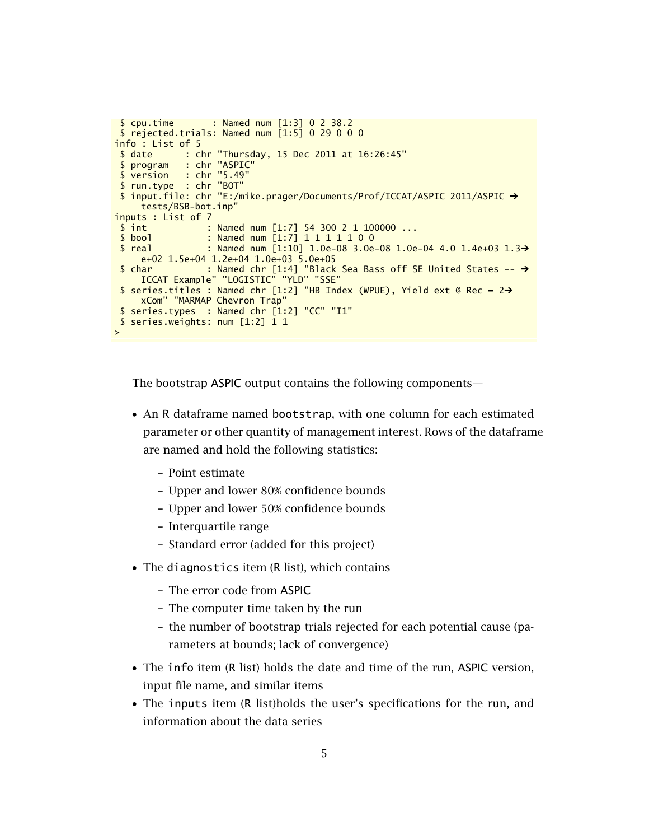```
$ cpu.time : Named num [1:3] 0 2 38.2
 $ rejected.trials: Named num [1:5] 0 29 0 0 0
info : List of 5
 $ date : chr "Thursday, 15 Dec 2011 at 16:26:45"
 $ program : chr "ASPIC"
 $ version : chr "5.49"
 $ run.type : chr "BOT"
 $ input.file: chr "E:/mike.prager/Documents/Prof/ICCAT/ASPIC 2011/ASPIC ➔
     tests/BSB-bot.inp"
inputs : List of 7
 \frac{1}{3} int : Named num [1:7] 54 300 2 1 100000 ...<br>
\frac{1}{3} bool : Named num [1:7] 1 1 1 1 1 0 0
                  : Named num [1:7] 1 1 1 1 1 0 0
 $ real : Named num [1:10] 1.0e-08 3.0e-08 1.0e-04 4.0 1.4e+03 1.3→
     e+02 1.5e+04 1.2e+04 1.0e+03 5.0e+05
 $ char : Named chr [1:4] "Black Sea Bass off SE United States \rightarrowICCAT Example" "LOGISTIC" "YLD" "SSE"
$ series.titles : Named chr [1:2] "HB Index (WPUE), Yield ext @ Rec = 2➔
     xCom" "MARMAP Chevron Trap"
 $ series.types : Named chr [1:2] "CC" "I1"
 $ series.weights: num [1:2] 1 1
>
```
The bootstrap ASPIC output contains the following components—

- An R dataframe named bootstrap, with one column for each estimated parameter or other quantity of management interest. Rows of the dataframe are named and hold the following statistics:
	- Point estimate
	- Upper and lower 80% confidence bounds
	- Upper and lower 50% confidence bounds
	- Interquartile range
	- Standard error (added for this project)
- The diagnostics item (R list), which contains
	- The error code from ASPIC
	- The computer time taken by the run
	- the number of bootstrap trials rejected for each potential cause (parameters at bounds; lack of convergence)
- The info item (R list) holds the date and time of the run, ASPIC version, input file name, and similar items
- The inputs item (R list)holds the user's specifications for the run, and information about the data series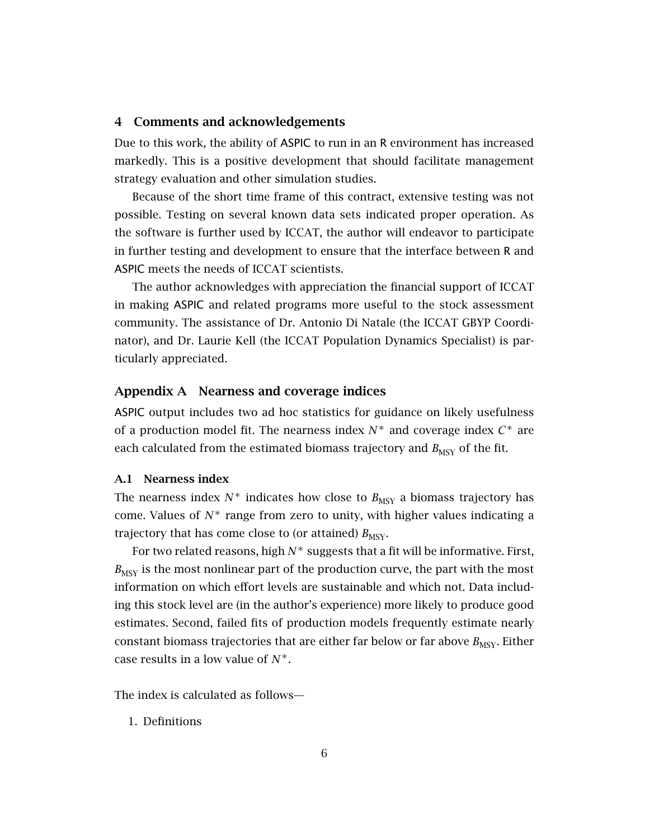## 4 Comments and acknowledgements

Due to this work, the ability of ASPIC to run in an R environment has increased markedly. This is a positive development that should facilitate management strategy evaluation and other simulation studies.

Because of the short time frame of this contract, extensive testing was not possible. Testing on several known data sets indicated proper operation. As the software is further used by ICCAT, the author will endeavor to participate in further testing and development to ensure that the interface between R and ASPIC meets the needs of ICCAT scientists.

The author acknowledges with appreciation the financial support of ICCAT in making ASPIC and related programs more useful to the stock assessment community. The assistance of Dr. Antonio Di Natale (the ICCAT GBYP Coordinator), and Dr. Laurie Kell (the ICCAT Population Dynamics Specialist) is particularly appreciated.

## Appendix A Nearness and coverage indices

ASPIC output includes two ad hoc statistics for guidance on likely usefulness of a production model fit. The nearness index  $N^*$  and coverage index  $C^*$  are each calculated from the estimated biomass trajectory and  $B_{MSY}$  of the fit.

#### A.1 Nearness index

The nearness index  $N^*$  indicates how close to  $B_{\text{MSY}}$  a biomass trajectory has come. Values of  $N^*$  range from zero to unity, with higher values indicating a trajectory that has come close to (or attained)  $B_{\text{MSY}}$ .

For two related reasons, high *N*<sup>∗</sup> suggests that a fit will be informative. First,  $B_{\text{MSY}}$  is the most nonlinear part of the production curve, the part with the most information on which effort levels are sustainable and which not. Data including this stock level are (in the author's experience) more likely to produce good estimates. Second, failed fits of production models frequently estimate nearly constant biomass trajectories that are either far below or far above  $B_{\text{MSY}}$ . Either case results in a low value of *N*∗.

The index is calculated as follows—

1. Definitions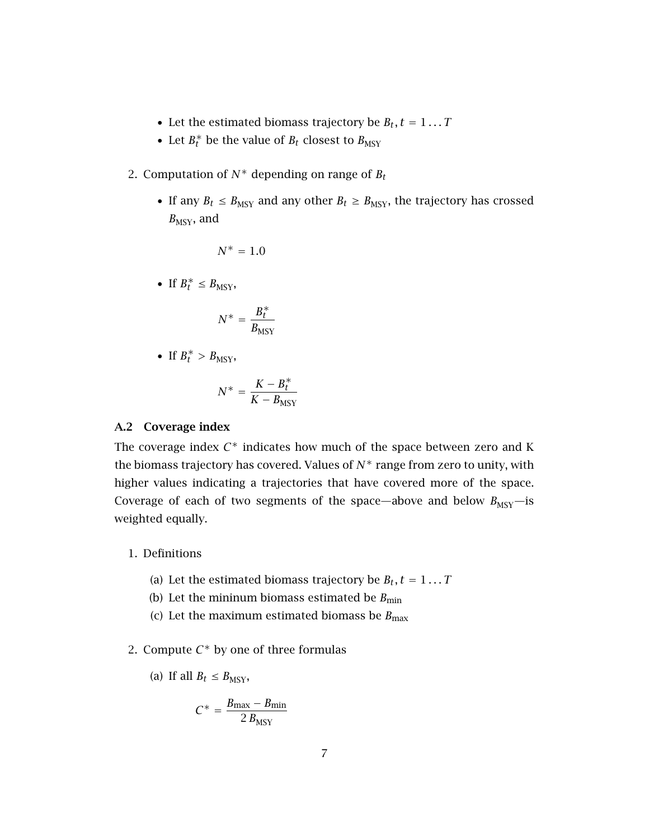- Let the estimated biomass trajectory be  $B_t$ ,  $t = 1...T$
- Let  $B_t^*$  be the value of  $B_t$  closest to  $B_{\text{MSY}}$
- 2. Computation of  $N^*$  depending on range of  $B_t$ 
	- If any  $B_t \leq B_{\text{MSY}}$  and any other  $B_t \geq B_{\text{MSY}}$ , the trajectory has crossed  $B_{\text{MSY}}$ , and

$$
N^*=1.0
$$

• If  $B_t^* \leq B_{\text{MSY}}$ ,

$$
N^* = \frac{B_t^*}{B_{\text{MSY}}}
$$

• If  $B_t^* > B_{MSY}$ ,

$$
N^* = \frac{K - B_t^*}{K - B_{\text{MSY}}}
$$

#### A.2 Coverage index

The coverage index  $C^*$  indicates how much of the space between zero and K the biomass trajectory has covered. Values of  $N^*$  range from zero to unity, with higher values indicating a trajectories that have covered more of the space. Coverage of each of two segments of the space—above and below  $B_{\text{MSY}}$ —is weighted equally.

- 1. Definitions
	- (a) Let the estimated biomass trajectory be  $B_t$ ,  $t = 1...T$
	- (b) Let the mininum biomass estimated be  $B_{\text{min}}$
	- (c) Let the maximum estimated biomass be  $B_{\text{max}}$
- 2. Compute  $C^*$  by one of three formulas

(a) If all 
$$
B_t \leq B_{\text{MSY}}
$$
,

$$
C^* = \frac{B_{\text{max}} - B_{\text{min}}}{2 B_{\text{MSY}}}
$$